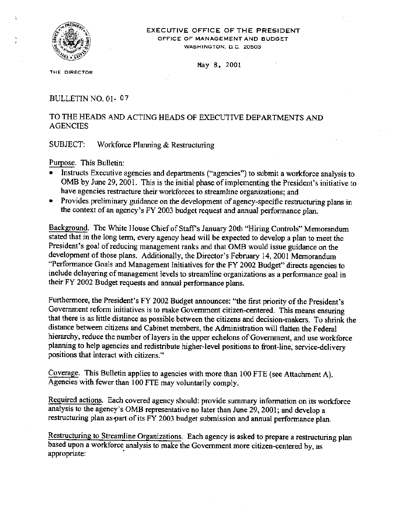

#### EXECUTIVE OFFICE OF THE PRESIDENT OFFICE OF MANAGEMENT AND BUDGET WASHINGTON, D.C. 20503

May 8. 2001

THE DIRECTOR

BULLETIN NO, 01- 07

# TO THE HEADS AND ACTING HEADS OF EXECUTIVE DEPARTMENTS AND **AGENCIES**

#### SUBJECT: Workforce Planning & Restructuring

Purpose, This Bulletin:

- Instructs Executive agencies and departments ("agencies") to submit a workforce analysis to OMB by June 29, 2001. This is the initial phase of implementing the President's initiative to have agencies restructure their workforces to streamline organizations; and
- Provides preliminary guidance on the development of agency-specific restructuring plans in the context of an agency's FY 2003 budget request and annual performance plan.

Background. The White House Chief of Staff's January 20th "Hiring Controls" Memorandum stated that in the long term, every agency head will be expected to develop a plan to meet the President's goal of reducing management ranks and that OMB would issue guidance on the development of those plans. Additionally, the Director's February 14,2001 Memorandum "Performance Goals and Management Initiatives for the FY 2002 Budget" directs agencies to include delayering of management levels to streamline organizations as a performance goal in their FY 2002 Budget requests and annual performance plans.

Furthermore, the President's FY 2002 Budget announces: "the first priority of the President's Government reform initiatives is to make Government citizen-centered. This means ensuring that there is as little distance as possible between the citizens and decision-makers. To shrink the distance between citizens and Cabinet members, the Administration will flatten the Federal hierarchy, reduce the number of layers in the upper echelons of Govemment, and use workforce planning to help agencies and redistribute higher-level positions to front-line, service-delivery positions that interact with citizens."

Coverage. This Bulletin applies to agencies with more than 100 FTE (see Attachment A). Agencies with fewer than 100 FTE may voluntarily comply.

Required actions. Each covered agency should: provide summary information on its workforce analysis to the agency's OMB representative no later than June 29, 200 I; and develop a restructuring plan as part of its FY 2003 budget submission and annual performance plan.

Restructuring to Streamline Organizations. Each agency is asked to prepare a restructuring plan based upon a workforce analysis to make the Government more citizen-centered by, as appropriate: .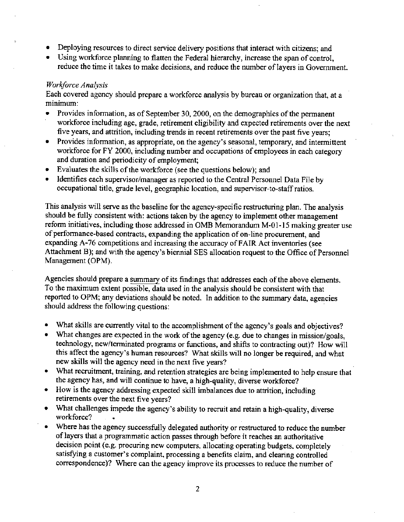- Deploying resources to direct service delivery positions that interact with citizens; and
- Using workforce planning to flatten the Federal hierarchy, increase the span of control, reduce the time it takes to make decisions, and reduce the number of layers in Government.

## *Workforce Analysis*

Each covered agency should prepare a workforce analysis by bureau or organization that, at a minimum:

- Provides information, as of September 30, 2000, on the demographics of the permanent workforce including age, grade, retirement eligibility and expected retirements over the next five years, and attrition, including trends in recent retirements over the past five years;
- Provides information, as appropriate, on the agency's seasonal, temporary, and intermittent workforce for FY 2000, including number and occupations of employees in each category and duration and periodicity of employment;
- Evaluates the skills of the workforce (see the questions below); and
- Identifies each supervisor/manager as reported to the Central Personnel Data File by occupational title, grade level, geographic location, and supervisor-to-staff ratios.

This analysis will serve as the baseline for the agency-specific restructuring plan. The analysis should be fully consistent with: actions taken by the agency to implement other management reform initiatives, including those addressed in OMB Memorandum M-01-15 making greater use of performance-based contracts, expanding the application of on-line procurement, and expanding A-76 competitions and increasing the accuracy of FAIR Act inventories (see Attachment B); and with the agency's biennial SES allocation request to the Office of Personnel Management (OPM).

Agencies should prepare a summary of its findings that addresses each of the above elements. To the maximum extent possible, data used in the analysis should be consistent with that reported to OPM; any deviations should be noted. In addition to the summary data, agencies should address the following questions: '

- 'What skills are currently vital to the accomplishment of the agency's goals and objectives?
- What changes are expected in the work of the agency (e.g. due to changes in mission/goals, technology, new/terminated programs or functions, and shifts to contracting out)? How will this affect the agency's human resources? What skills will no longer be required, and what new skills will the agency need in the next five years?
- What recruitment, training, and retention strategies are being implemented to help ensure that the agency has, and will continue to have, a high-quality, diverse workforce?
- How is the agency addressing expected skill imbalances due to attrition, including retirements over the next five years?
- What challenges impede the agency's ability to recruit and retain a high-quality, diverse workforce?
- Where has the agency successfully delegated authority or restructured to reduce the number of layers that a programmatic action passes through before it reaches an authoritative decision point (e.g. procuring new computers, allocating operating budgets. completely satisfying a customer's complaint. processing a benefits claim, and clearing controlled correspondence)? Where can the agency improve its processes to reduce the number of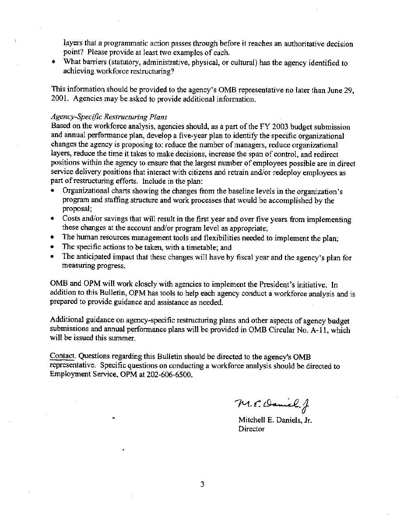layers that a programmatic action passes through before it reaches an authoritative decision point? Please provide at least two examples of each.

• What barriers (statutory, administrative, physical, or cultural) has the agency identified to achieving workforce restructuring?

This information should be provided to the agency's OMB representative no later than June 29, 2001. Agencies may be asked to provide additional information.

### *Agency-Specific Restructuring Plans*

Based on the workforce analysis, agencies should, as a part of the FY 2003 budget submission and annual performance plan, develop a five-year plan to identify the specific organizational changes the agency is proposing to: reduce the number of managers, reduce organizational layers, reduce the time it takes to make decisions, increase the span of control, and redirect positions within the agency to ensure that the largest number of employees possible are in direct service delivery positions that interact with citizens and retrain and/or redeploy employees as part of restructuring efforts. Include in the plan:

- Organizational charts showing the changes from the baseline levels in the organization's program and staffing structure and work processes that would be accomplished by the proposal;
- Costs and/or savings that will result in the first year and over five years from implementing these changes at the account and/or program level as appropriate;
- The human resources management tools and flexibilities needed to implement the plan;
- The specific actions to be taken, with a timetable; and
- The anticipated impact that these changes will have by fiscal year and the agency's plan for measuring progress.

OMB and OPM will work closely with agencies to implement the President's initiative. In addition to this Bulletin, OPM has tools to help each agency conduct a workforce analysis and is prepared to provide guidance and assistance as needed.

Additional guidance on agency-specific restructuring plans and other aspects of agency budget submissions and annual performance plans will be provided in OMB Circular No. A-II, which will be issued this summer.

Contact. Questions regarding this Bulletin should be directed to the agency's OMB representative. Specific questions on conducting a workforce analysis should be directed to Employment Service, OPM at 202-606-6500.

*"r-«.«: ~, ~e.j*

Mitchell E. Daniels, Jr. Director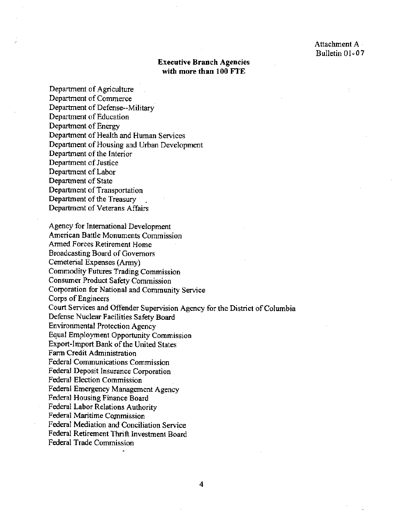## Executive Branch Agencies with more than 100 FTE

Department of Agriculture Department of Commerce Department of Defense--Military Department of Education Department of Energy Department of Health and Human Services Department of Housing and Urban Development Department of the Interior Department of Justice Department of Labor Department of State Department of Transportation Department of the Treasury Department of Veterans Affairs

Agency for International Development American Battle Monuments Commission Armed Forces Retirement Home Broadcasting Board of Governors Cemeterial Expenses (Army) Commodity Futures Trading Commission Consumer Product Safety Commission Corporation for National and Community Service Corps of Engineers Court Services and Offender Supervision Agency for the District of Columbia Defense Nuclear Facilities Safety Board Environmental Protection Agency Equal Employment Opportunity Commission Export-Import Bank of the United States Farm Credit Administration Federal Communications Commission Federal Deposit Insurance Corporation Federal Election Commission Federal Emergency Management Agency Federal Housing Finance Board Federal Labor Relations Authority Federal Maritime Commission Federal Mediation and Conciliation Service Federal Retirement Thrift Investment Board Federal Trade Commission